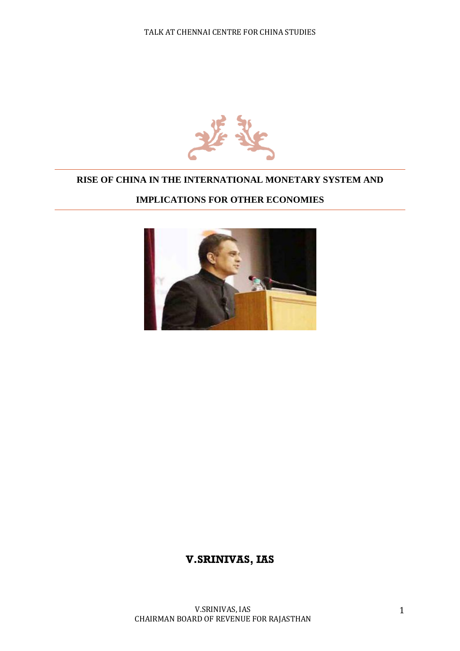

### **RISE OF CHINA IN THE INTERNATIONAL MONETARY SYSTEM AND**

## **IMPLICATIONS FOR OTHER ECONOMIES**



# **V.SRINIVAS, IAS**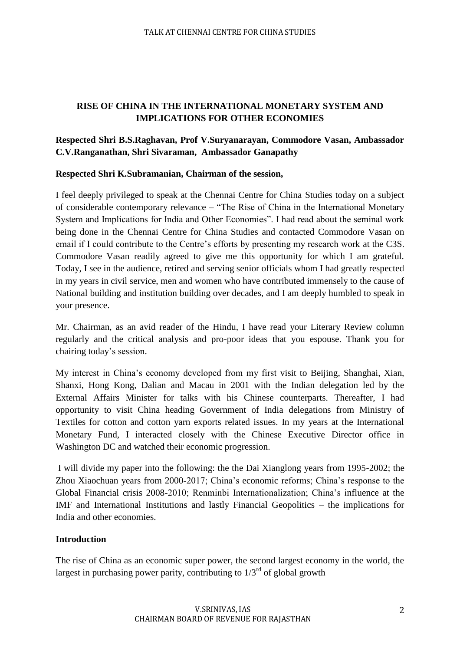# **RISE OF CHINA IN THE INTERNATIONAL MONETARY SYSTEM AND IMPLICATIONS FOR OTHER ECONOMIES**

# **Respected Shri B.S.Raghavan, Prof V.Suryanarayan, Commodore Vasan, Ambassador C.V.Ranganathan, Shri Sivaraman, Ambassador Ganapathy**

### **Respected Shri K.Subramanian, Chairman of the session,**

I feel deeply privileged to speak at the Chennai Centre for China Studies today on a subject of considerable contemporary relevance – "The Rise of China in the International Monetary System and Implications for India and Other Economies". I had read about the seminal work being done in the Chennai Centre for China Studies and contacted Commodore Vasan on email if I could contribute to the Centre's efforts by presenting my research work at the C3S. Commodore Vasan readily agreed to give me this opportunity for which I am grateful. Today, I see in the audience, retired and serving senior officials whom I had greatly respected in my years in civil service, men and women who have contributed immensely to the cause of National building and institution building over decades, and I am deeply humbled to speak in your presence.

Mr. Chairman, as an avid reader of the Hindu, I have read your Literary Review column regularly and the critical analysis and pro-poor ideas that you espouse. Thank you for chairing today's session.

My interest in China's economy developed from my first visit to Beijing, Shanghai, Xian, Shanxi, Hong Kong, Dalian and Macau in 2001 with the Indian delegation led by the External Affairs Minister for talks with his Chinese counterparts. Thereafter, I had opportunity to visit China heading Government of India delegations from Ministry of Textiles for cotton and cotton yarn exports related issues. In my years at the International Monetary Fund, I interacted closely with the Chinese Executive Director office in Washington DC and watched their economic progression.

I will divide my paper into the following: the the Dai Xianglong years from 1995-2002; the Zhou Xiaochuan years from 2000-2017; China's economic reforms; China's response to the Global Financial crisis 2008-2010; Renminbi Internationalization; China's influence at the IMF and International Institutions and lastly Financial Geopolitics – the implications for India and other economies.

#### **Introduction**

The rise of China as an economic super power, the second largest economy in the world, the largest in purchasing power parity, contributing to  $1/3<sup>rd</sup>$  of global growth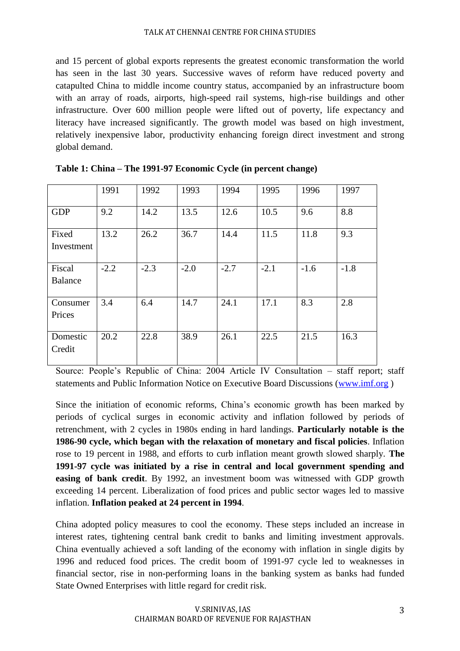and 15 percent of global exports represents the greatest economic transformation the world has seen in the last 30 years. Successive waves of reform have reduced poverty and catapulted China to middle income country status, accompanied by an infrastructure boom with an array of roads, airports, high-speed rail systems, high-rise buildings and other infrastructure. Over 600 million people were lifted out of poverty, life expectancy and literacy have increased significantly. The growth model was based on high investment, relatively inexpensive labor, productivity enhancing foreign direct investment and strong global demand.

|                          | 1991   | 1992   | 1993   | 1994   | 1995   | 1996   | 1997   |
|--------------------------|--------|--------|--------|--------|--------|--------|--------|
| <b>GDP</b>               | 9.2    | 14.2   | 13.5   | 12.6   | 10.5   | 9.6    | 8.8    |
| Fixed<br>Investment      | 13.2   | 26.2   | 36.7   | 14.4   | 11.5   | 11.8   | 9.3    |
| Fiscal<br><b>Balance</b> | $-2.2$ | $-2.3$ | $-2.0$ | $-2.7$ | $-2.1$ | $-1.6$ | $-1.8$ |
| Consumer<br>Prices       | 3.4    | 6.4    | 14.7   | 24.1   | 17.1   | 8.3    | 2.8    |
| Domestic<br>Credit       | 20.2   | 22.8   | 38.9   | 26.1   | 22.5   | 21.5   | 16.3   |

| Table 1: China – The 1991-97 Economic Cycle (in percent change) |  |  |  |  |  |
|-----------------------------------------------------------------|--|--|--|--|--|
|-----------------------------------------------------------------|--|--|--|--|--|

Source: People's Republic of China: 2004 Article IV Consultation – staff report; staff statements and Public Information Notice on Executive Board Discussions [\(www.imf.org](http://www.imf.org/) )

Since the initiation of economic reforms, China's economic growth has been marked by periods of cyclical surges in economic activity and inflation followed by periods of retrenchment, with 2 cycles in 1980s ending in hard landings. **Particularly notable is the 1986-90 cycle, which began with the relaxation of monetary and fiscal policies**. Inflation rose to 19 percent in 1988, and efforts to curb inflation meant growth slowed sharply. **The 1991-97 cycle was initiated by a rise in central and local government spending and easing of bank credit**. By 1992, an investment boom was witnessed with GDP growth exceeding 14 percent. Liberalization of food prices and public sector wages led to massive inflation. **Inflation peaked at 24 percent in 1994**.

China adopted policy measures to cool the economy. These steps included an increase in interest rates, tightening central bank credit to banks and limiting investment approvals. China eventually achieved a soft landing of the economy with inflation in single digits by 1996 and reduced food prices. The credit boom of 1991-97 cycle led to weaknesses in financial sector, rise in non-performing loans in the banking system as banks had funded State Owned Enterprises with little regard for credit risk.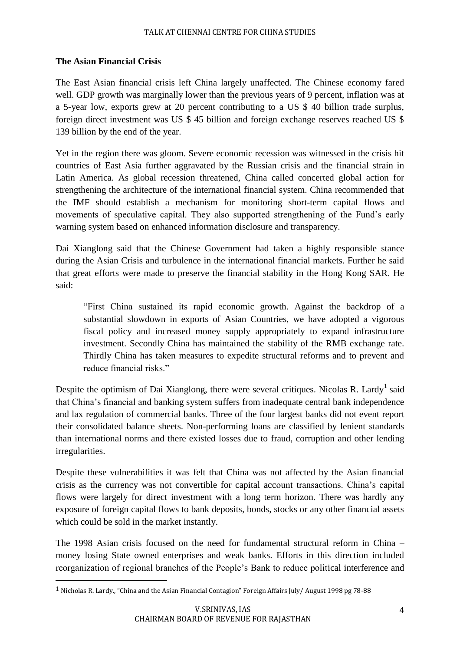## **The Asian Financial Crisis**

 $\overline{\phantom{a}}$ 

The East Asian financial crisis left China largely unaffected. The Chinese economy fared well. GDP growth was marginally lower than the previous years of 9 percent, inflation was at a 5-year low, exports grew at 20 percent contributing to a US \$ 40 billion trade surplus, foreign direct investment was US \$ 45 billion and foreign exchange reserves reached US \$ 139 billion by the end of the year.

Yet in the region there was gloom. Severe economic recession was witnessed in the crisis hit countries of East Asia further aggravated by the Russian crisis and the financial strain in Latin America. As global recession threatened, China called concerted global action for strengthening the architecture of the international financial system. China recommended that the IMF should establish a mechanism for monitoring short-term capital flows and movements of speculative capital. They also supported strengthening of the Fund's early warning system based on enhanced information disclosure and transparency.

Dai Xianglong said that the Chinese Government had taken a highly responsible stance during the Asian Crisis and turbulence in the international financial markets. Further he said that great efforts were made to preserve the financial stability in the Hong Kong SAR. He said:

"First China sustained its rapid economic growth. Against the backdrop of a substantial slowdown in exports of Asian Countries, we have adopted a vigorous fiscal policy and increased money supply appropriately to expand infrastructure investment. Secondly China has maintained the stability of the RMB exchange rate. Thirdly China has taken measures to expedite structural reforms and to prevent and reduce financial risks."

Despite the optimism of Dai Xianglong, there were several critiques. Nicolas R. Lardy<sup>1</sup> said that China's financial and banking system suffers from inadequate central bank independence and lax regulation of commercial banks. Three of the four largest banks did not event report their consolidated balance sheets. Non-performing loans are classified by lenient standards than international norms and there existed losses due to fraud, corruption and other lending irregularities.

Despite these vulnerabilities it was felt that China was not affected by the Asian financial crisis as the currency was not convertible for capital account transactions. China's capital flows were largely for direct investment with a long term horizon. There was hardly any exposure of foreign capital flows to bank deposits, bonds, stocks or any other financial assets which could be sold in the market instantly.

The 1998 Asian crisis focused on the need for fundamental structural reform in China – money losing State owned enterprises and weak banks. Efforts in this direction included reorganization of regional branches of the People's Bank to reduce political interference and

<sup>1</sup> Nicholas R. Lardy., "China and the Asian Financial Contagion" Foreign Affairs July/ August 1998 pg 78-88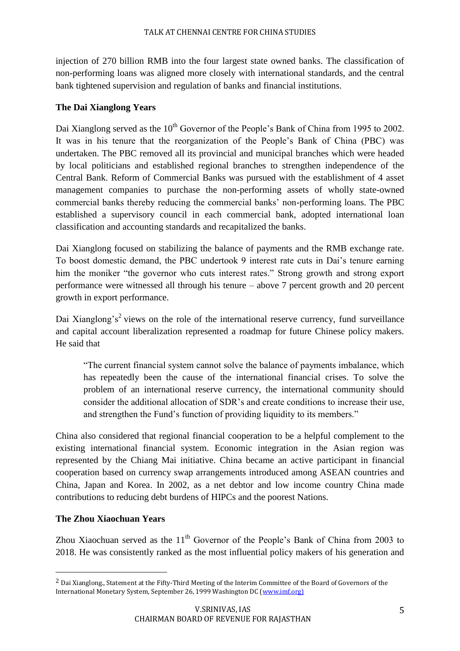injection of 270 billion RMB into the four largest state owned banks. The classification of non-performing loans was aligned more closely with international standards, and the central bank tightened supervision and regulation of banks and financial institutions.

## **The Dai Xianglong Years**

Dai Xianglong served as the 10<sup>th</sup> Governor of the People's Bank of China from 1995 to 2002. It was in his tenure that the reorganization of the People's Bank of China (PBC) was undertaken. The PBC removed all its provincial and municipal branches which were headed by local politicians and established regional branches to strengthen independence of the Central Bank. Reform of Commercial Banks was pursued with the establishment of 4 asset management companies to purchase the non-performing assets of wholly state-owned commercial banks thereby reducing the commercial banks' non-performing loans. The PBC established a supervisory council in each commercial bank, adopted international loan classification and accounting standards and recapitalized the banks.

Dai Xianglong focused on stabilizing the balance of payments and the RMB exchange rate. To boost domestic demand, the PBC undertook 9 interest rate cuts in Dai's tenure earning him the moniker "the governor who cuts interest rates." Strong growth and strong export performance were witnessed all through his tenure – above 7 percent growth and 20 percent growth in export performance.

Dai Xianglong's<sup>2</sup> views on the role of the international reserve currency, fund surveillance and capital account liberalization represented a roadmap for future Chinese policy makers. He said that

"The current financial system cannot solve the balance of payments imbalance, which has repeatedly been the cause of the international financial crises. To solve the problem of an international reserve currency, the international community should consider the additional allocation of SDR's and create conditions to increase their use, and strengthen the Fund's function of providing liquidity to its members."

China also considered that regional financial cooperation to be a helpful complement to the existing international financial system. Economic integration in the Asian region was represented by the Chiang Mai initiative. China became an active participant in financial cooperation based on currency swap arrangements introduced among ASEAN countries and China, Japan and Korea. In 2002, as a net debtor and low income country China made contributions to reducing debt burdens of HIPCs and the poorest Nations.

## **The Zhou Xiaochuan Years**

 $\overline{\phantom{a}}$ 

Zhou Xiaochuan served as the  $11<sup>th</sup>$  Governor of the People's Bank of China from 2003 to 2018. He was consistently ranked as the most influential policy makers of his generation and

<sup>2</sup> Dai Xianglong., Statement at the Fifty-Third Meeting of the Interim Committee of the Board of Governors of the International Monetary System, September 26, 1999 Washington DC [\(www.imf.org\)](http://www.imf.org)/)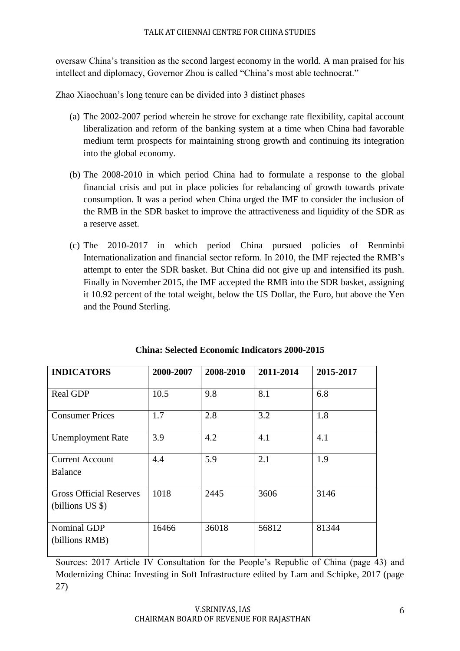oversaw China's transition as the second largest economy in the world. A man praised for his intellect and diplomacy, Governor Zhou is called "China's most able technocrat."

Zhao Xiaochuan's long tenure can be divided into 3 distinct phases

- (a) The 2002-2007 period wherein he strove for exchange rate flexibility, capital account liberalization and reform of the banking system at a time when China had favorable medium term prospects for maintaining strong growth and continuing its integration into the global economy.
- (b) The 2008-2010 in which period China had to formulate a response to the global financial crisis and put in place policies for rebalancing of growth towards private consumption. It was a period when China urged the IMF to consider the inclusion of the RMB in the SDR basket to improve the attractiveness and liquidity of the SDR as a reserve asset.
- (c) The 2010-2017 in which period China pursued policies of Renminbi Internationalization and financial sector reform. In 2010, the IMF rejected the RMB's attempt to enter the SDR basket. But China did not give up and intensified its push. Finally in November 2015, the IMF accepted the RMB into the SDR basket, assigning it 10.92 percent of the total weight, below the US Dollar, the Euro, but above the Yen and the Pound Sterling.

| <b>INDICATORS</b>                                  | 2000-2007 | 2008-2010 | 2011-2014 | 2015-2017 |
|----------------------------------------------------|-----------|-----------|-----------|-----------|
| Real GDP                                           | 10.5      | 9.8       | 8.1       | 6.8       |
| <b>Consumer Prices</b>                             | 1.7       | 2.8       | 3.2       | 1.8       |
| <b>Unemployment Rate</b>                           | 3.9       | 4.2       | 4.1       | 4.1       |
| <b>Current Account</b><br><b>Balance</b>           | 4.4       | 5.9       | 2.1       | 1.9       |
| <b>Gross Official Reserves</b><br>(billions US \$) | 1018      | 2445      | 3606      | 3146      |
| Nominal GDP<br>(billions RMB)                      | 16466     | 36018     | 56812     | 81344     |

| <b>China: Selected Economic Indicators 2000-2015</b> |  |  |  |
|------------------------------------------------------|--|--|--|
|------------------------------------------------------|--|--|--|

Sources: 2017 Article IV Consultation for the People's Republic of China (page 43) and Modernizing China: Investing in Soft Infrastructure edited by Lam and Schipke, 2017 (page 27)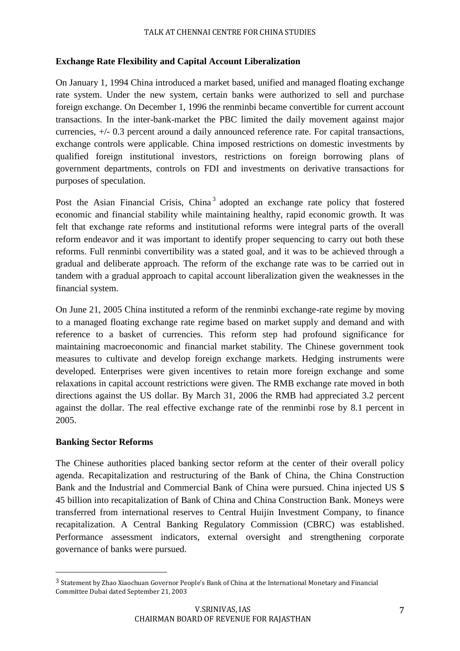### **Exchange Rate Flexibility and Capital Account Liberalization**

On January 1, 1994 China introduced a market based, unified and managed floating exchange rate system. Under the new system, certain banks were authorized to sell and purchase foreign exchange. On December 1, 1996 the renminbi became convertible for current account transactions. In the inter-bank-market the PBC limited the daily movement against major currencies, +/- 0.3 percent around a daily announced reference rate. For capital transactions, exchange controls were applicable. China imposed restrictions on domestic investments by qualified foreign institutional investors, restrictions on foreign borrowing plans of government departments, controls on FDI and investments on derivative transactions for purposes of speculation.

Post the Asian Financial Crisis, China<sup>3</sup> adopted an exchange rate policy that fostered economic and financial stability while maintaining healthy, rapid economic growth. It was felt that exchange rate reforms and institutional reforms were integral parts of the overall reform endeavor and it was important to identify proper sequencing to carry out both these reforms. Full renminbi convertibility was a stated goal, and it was to be achieved through a gradual and deliberate approach. The reform of the exchange rate was to be carried out in tandem with a gradual approach to capital account liberalization given the weaknesses in the financial system.

On June 21, 2005 China instituted a reform of the renminbi exchange-rate regime by moving to a managed floating exchange rate regime based on market supply and demand and with reference to a basket of currencies. This reform step had profound significance for maintaining macroeconomic and financial market stability. The Chinese government took measures to cultivate and develop foreign exchange markets. Hedging instruments were developed. Enterprises were given incentives to retain more foreign exchange and some relaxations in capital account restrictions were given. The RMB exchange rate moved in both directions against the US dollar. By March 31, 2006 the RMB had appreciated 3.2 percent against the dollar. The real effective exchange rate of the renminbi rose by 8.1 percent in 2005.

#### **Banking Sector Reforms**

 $\overline{\phantom{a}}$ 

The Chinese authorities placed banking sector reform at the center of their overall policy agenda. Recapitalization and restructuring of the Bank of China, the China Construction Bank and the Industrial and Commercial Bank of China were pursued. China injected US \$ 45 billion into recapitalization of Bank of China and China Construction Bank. Moneys were transferred from international reserves to Central Huijin Investment Company, to finance recapitalization. A Central Banking Regulatory Commission (CBRC) was established. Performance assessment indicators, external oversight and strengthening corporate governance of banks were pursued.

<sup>3</sup> Statement by Zhao Xiaochuan Governor People's Bank of China at the International Monetary and Financial Committee Dubai dated September 21, 2003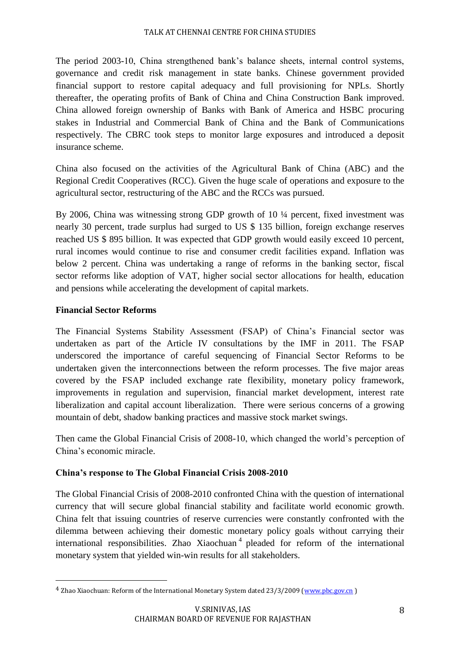The period 2003-10, China strengthened bank's balance sheets, internal control systems, governance and credit risk management in state banks. Chinese government provided financial support to restore capital adequacy and full provisioning for NPLs. Shortly thereafter, the operating profits of Bank of China and China Construction Bank improved. China allowed foreign ownership of Banks with Bank of America and HSBC procuring stakes in Industrial and Commercial Bank of China and the Bank of Communications respectively. The CBRC took steps to monitor large exposures and introduced a deposit insurance scheme.

China also focused on the activities of the Agricultural Bank of China (ABC) and the Regional Credit Cooperatives (RCC). Given the huge scale of operations and exposure to the agricultural sector, restructuring of the ABC and the RCCs was pursued.

By 2006, China was witnessing strong GDP growth of 10 ¼ percent, fixed investment was nearly 30 percent, trade surplus had surged to US \$ 135 billion, foreign exchange reserves reached US \$ 895 billion. It was expected that GDP growth would easily exceed 10 percent, rural incomes would continue to rise and consumer credit facilities expand. Inflation was below 2 percent. China was undertaking a range of reforms in the banking sector, fiscal sector reforms like adoption of VAT, higher social sector allocations for health, education and pensions while accelerating the development of capital markets.

## **Financial Sector Reforms**

 $\overline{\phantom{a}}$ 

The Financial Systems Stability Assessment (FSAP) of China's Financial sector was undertaken as part of the Article IV consultations by the IMF in 2011. The FSAP underscored the importance of careful sequencing of Financial Sector Reforms to be undertaken given the interconnections between the reform processes. The five major areas covered by the FSAP included exchange rate flexibility, monetary policy framework, improvements in regulation and supervision, financial market development, interest rate liberalization and capital account liberalization. There were serious concerns of a growing mountain of debt, shadow banking practices and massive stock market swings.

Then came the Global Financial Crisis of 2008-10, which changed the world's perception of China's economic miracle.

## **China's response to The Global Financial Crisis 2008-2010**

The Global Financial Crisis of 2008-2010 confronted China with the question of international currency that will secure global financial stability and facilitate world economic growth. China felt that issuing countries of reserve currencies were constantly confronted with the dilemma between achieving their domestic monetary policy goals without carrying their international responsibilities. Zhao Xiaochuan<sup>4</sup> pleaded for reform of the international monetary system that yielded win-win results for all stakeholders.

<sup>&</sup>lt;sup>4</sup> Zhao Xiaochuan: Reform of the International Monetary System dated 23/3/2009 [\(www.pbc.gov.cn](http://www.pbc.gov.cn/))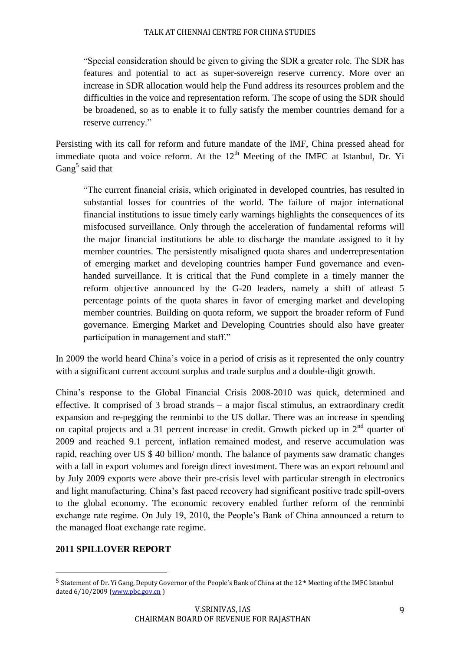"Special consideration should be given to giving the SDR a greater role. The SDR has features and potential to act as super-sovereign reserve currency. More over an increase in SDR allocation would help the Fund address its resources problem and the difficulties in the voice and representation reform. The scope of using the SDR should be broadened, so as to enable it to fully satisfy the member countries demand for a reserve currency."

Persisting with its call for reform and future mandate of the IMF, China pressed ahead for immediate quota and voice reform. At the  $12<sup>th</sup>$  Meeting of the IMFC at Istanbul, Dr. Yi Gang<sup>5</sup> said that

"The current financial crisis, which originated in developed countries, has resulted in substantial losses for countries of the world. The failure of major international financial institutions to issue timely early warnings highlights the consequences of its misfocused surveillance. Only through the acceleration of fundamental reforms will the major financial institutions be able to discharge the mandate assigned to it by member countries. The persistently misaligned quota shares and underrepresentation of emerging market and developing countries hamper Fund governance and evenhanded surveillance. It is critical that the Fund complete in a timely manner the reform objective announced by the G-20 leaders, namely a shift of atleast 5 percentage points of the quota shares in favor of emerging market and developing member countries. Building on quota reform, we support the broader reform of Fund governance. Emerging Market and Developing Countries should also have greater participation in management and staff."

In 2009 the world heard China's voice in a period of crisis as it represented the only country with a significant current account surplus and trade surplus and a double-digit growth.

China's response to the Global Financial Crisis 2008-2010 was quick, determined and effective. It comprised of 3 broad strands – a major fiscal stimulus, an extraordinary credit expansion and re-pegging the renminbi to the US dollar. There was an increase in spending on capital projects and a 31 percent increase in credit. Growth picked up in  $2<sup>nd</sup>$  quarter of 2009 and reached 9.1 percent, inflation remained modest, and reserve accumulation was rapid, reaching over US \$ 40 billion/ month. The balance of payments saw dramatic changes with a fall in export volumes and foreign direct investment. There was an export rebound and by July 2009 exports were above their pre-crisis level with particular strength in electronics and light manufacturing. China's fast paced recovery had significant positive trade spill-overs to the global economy. The economic recovery enabled further reform of the renminbi exchange rate regime. On July 19, 2010, the People's Bank of China announced a return to the managed float exchange rate regime.

## **2011 SPILLOVER REPORT**

 $\overline{\phantom{a}}$ 

<sup>&</sup>lt;sup>5</sup> Statement of Dr. Yi Gang, Deputy Governor of the People's Bank of China at the 12<sup>th</sup> Meeting of the IMFC Istanbul dated 6/10/2009 [\(www.pbc.gov.cn](http://www.pbc.gov.cn/) )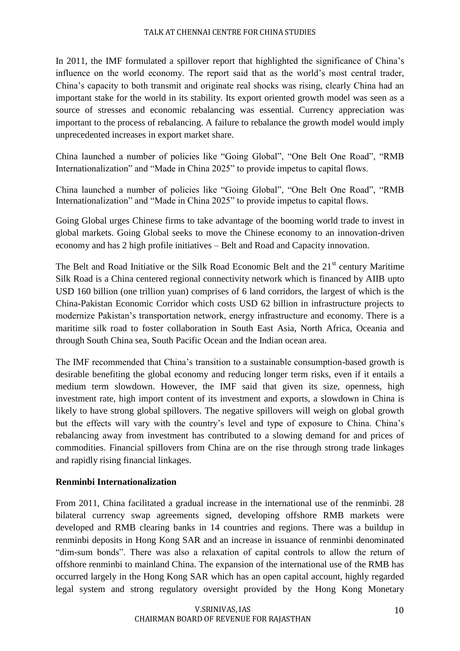In 2011, the IMF formulated a spillover report that highlighted the significance of China's influence on the world economy. The report said that as the world's most central trader, China's capacity to both transmit and originate real shocks was rising, clearly China had an important stake for the world in its stability. Its export oriented growth model was seen as a source of stresses and economic rebalancing was essential. Currency appreciation was important to the process of rebalancing. A failure to rebalance the growth model would imply unprecedented increases in export market share.

China launched a number of policies like "Going Global", "One Belt One Road", "RMB Internationalization" and "Made in China 2025" to provide impetus to capital flows.

China launched a number of policies like "Going Global", "One Belt One Road", "RMB Internationalization" and "Made in China 2025" to provide impetus to capital flows.

Going Global urges Chinese firms to take advantage of the booming world trade to invest in global markets. Going Global seeks to move the Chinese economy to an innovation-driven economy and has 2 high profile initiatives – Belt and Road and Capacity innovation.

The Belt and Road Initiative or the Silk Road Economic Belt and the 21<sup>st</sup> century Maritime Silk Road is a China centered regional connectivity network which is financed by AIIB upto USD 160 billion (one trillion yuan) comprises of 6 land corridors, the largest of which is the China-Pakistan Economic Corridor which costs USD 62 billion in infrastructure projects to modernize Pakistan's transportation network, energy infrastructure and economy. There is a maritime silk road to foster collaboration in South East Asia, North Africa, Oceania and through South China sea, South Pacific Ocean and the Indian ocean area.

The IMF recommended that China's transition to a sustainable consumption-based growth is desirable benefiting the global economy and reducing longer term risks, even if it entails a medium term slowdown. However, the IMF said that given its size, openness, high investment rate, high import content of its investment and exports, a slowdown in China is likely to have strong global spillovers. The negative spillovers will weigh on global growth but the effects will vary with the country's level and type of exposure to China. China's rebalancing away from investment has contributed to a slowing demand for and prices of commodities. Financial spillovers from China are on the rise through strong trade linkages and rapidly rising financial linkages.

# **Renminbi Internationalization**

From 2011, China facilitated a gradual increase in the international use of the renminbi. 28 bilateral currency swap agreements signed, developing offshore RMB markets were developed and RMB clearing banks in 14 countries and regions. There was a buildup in renminbi deposits in Hong Kong SAR and an increase in issuance of renminbi denominated "dim-sum bonds". There was also a relaxation of capital controls to allow the return of offshore renminbi to mainland China. The expansion of the international use of the RMB has occurred largely in the Hong Kong SAR which has an open capital account, highly regarded legal system and strong regulatory oversight provided by the Hong Kong Monetary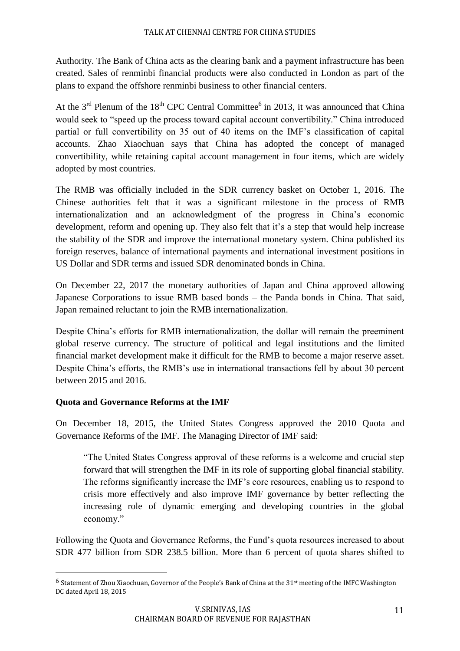Authority. The Bank of China acts as the clearing bank and a payment infrastructure has been created. Sales of renminbi financial products were also conducted in London as part of the plans to expand the offshore renminbi business to other financial centers.

At the  $3<sup>rd</sup>$  Plenum of the 18<sup>th</sup> CPC Central Committee<sup>6</sup> in 2013, it was announced that China would seek to "speed up the process toward capital account convertibility." China introduced partial or full convertibility on 35 out of 40 items on the IMF's classification of capital accounts. Zhao Xiaochuan says that China has adopted the concept of managed convertibility, while retaining capital account management in four items, which are widely adopted by most countries.

The RMB was officially included in the SDR currency basket on October 1, 2016. The Chinese authorities felt that it was a significant milestone in the process of RMB internationalization and an acknowledgment of the progress in China's economic development, reform and opening up. They also felt that it's a step that would help increase the stability of the SDR and improve the international monetary system. China published its foreign reserves, balance of international payments and international investment positions in US Dollar and SDR terms and issued SDR denominated bonds in China.

On December 22, 2017 the monetary authorities of Japan and China approved allowing Japanese Corporations to issue RMB based bonds – the Panda bonds in China. That said, Japan remained reluctant to join the RMB internationalization.

Despite China's efforts for RMB internationalization, the dollar will remain the preeminent global reserve currency. The structure of political and legal institutions and the limited financial market development make it difficult for the RMB to become a major reserve asset. Despite China's efforts, the RMB's use in international transactions fell by about 30 percent between 2015 and 2016.

## **Quota and Governance Reforms at the IMF**

 $\overline{\phantom{a}}$ 

On December 18, 2015, the United States Congress approved the 2010 Quota and Governance Reforms of the IMF. The Managing Director of IMF said:

"The United States Congress approval of these reforms is a welcome and crucial step forward that will strengthen the IMF in its role of supporting global financial stability. The reforms significantly increase the IMF's core resources, enabling us to respond to crisis more effectively and also improve IMF governance by better reflecting the increasing role of dynamic emerging and developing countries in the global economy."

Following the Quota and Governance Reforms, the Fund's quota resources increased to about SDR 477 billion from SDR 238.5 billion. More than 6 percent of quota shares shifted to

<sup>6</sup> Statement of Zhou Xiaochuan, Governor of the People's Bank of China at the 31st meeting of the IMFC Washington DC dated April 18, 2015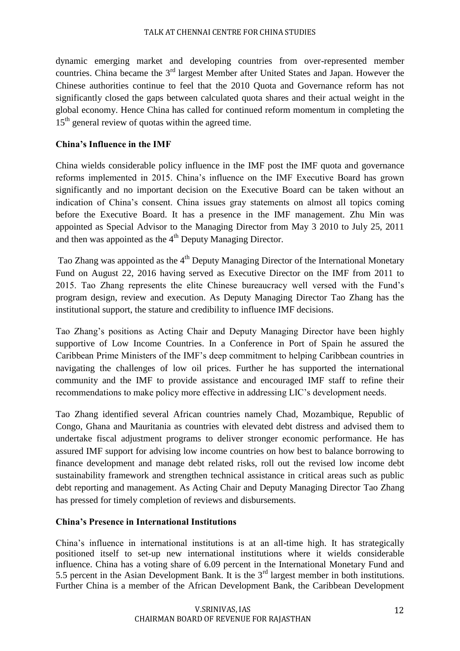dynamic emerging market and developing countries from over-represented member countries. China became the 3<sup>rd</sup> largest Member after United States and Japan. However the Chinese authorities continue to feel that the 2010 Quota and Governance reform has not significantly closed the gaps between calculated quota shares and their actual weight in the global economy. Hence China has called for continued reform momentum in completing the  $15<sup>th</sup>$  general review of quotas within the agreed time.

### **China's Influence in the IMF**

China wields considerable policy influence in the IMF post the IMF quota and governance reforms implemented in 2015. China's influence on the IMF Executive Board has grown significantly and no important decision on the Executive Board can be taken without an indication of China's consent. China issues gray statements on almost all topics coming before the Executive Board. It has a presence in the IMF management. Zhu Min was appointed as Special Advisor to the Managing Director from May 3 2010 to July 25, 2011 and then was appointed as the  $4<sup>th</sup>$  Deputy Managing Director.

Tao Zhang was appointed as the 4<sup>th</sup> Deputy Managing Director of the International Monetary Fund on August 22, 2016 having served as Executive Director on the IMF from 2011 to 2015. Tao Zhang represents the elite Chinese bureaucracy well versed with the Fund's program design, review and execution. As Deputy Managing Director Tao Zhang has the institutional support, the stature and credibility to influence IMF decisions.

Tao Zhang's positions as Acting Chair and Deputy Managing Director have been highly supportive of Low Income Countries. In a Conference in Port of Spain he assured the Caribbean Prime Ministers of the IMF's deep commitment to helping Caribbean countries in navigating the challenges of low oil prices. Further he has supported the international community and the IMF to provide assistance and encouraged IMF staff to refine their recommendations to make policy more effective in addressing LIC's development needs.

Tao Zhang identified several African countries namely Chad, Mozambique, Republic of Congo, Ghana and Mauritania as countries with elevated debt distress and advised them to undertake fiscal adjustment programs to deliver stronger economic performance. He has assured IMF support for advising low income countries on how best to balance borrowing to finance development and manage debt related risks, roll out the revised low income debt sustainability framework and strengthen technical assistance in critical areas such as public debt reporting and management. As Acting Chair and Deputy Managing Director Tao Zhang has pressed for timely completion of reviews and disbursements.

#### **China's Presence in International Institutions**

China's influence in international institutions is at an all-time high. It has strategically positioned itself to set-up new international institutions where it wields considerable influence. China has a voting share of 6.09 percent in the International Monetary Fund and 5.5 percent in the Asian Development Bank. It is the  $3<sup>rd</sup>$  largest member in both institutions. Further China is a member of the African Development Bank, the Caribbean Development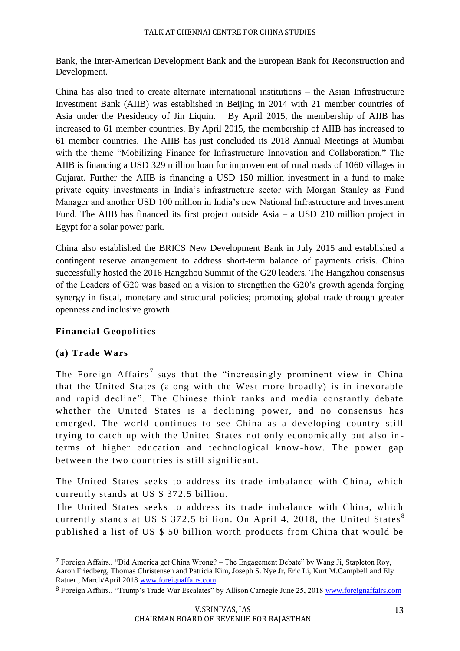Bank, the Inter-American Development Bank and the European Bank for Reconstruction and Development.

China has also tried to create alternate international institutions – the Asian Infrastructure Investment Bank (AIIB) was established in Beijing in 2014 with 21 member countries of Asia under the Presidency of Jin Liquin. By April 2015, the membership of AIIB has increased to 61 member countries. By April 2015, the membership of AIIB has increased to 61 member countries. The AIIB has just concluded its 2018 Annual Meetings at Mumbai with the theme "Mobilizing Finance for Infrastructure Innovation and Collaboration." The AIIB is financing a USD 329 million loan for improvement of rural roads of 1060 villages in Gujarat. Further the AIIB is financing a USD 150 million investment in a fund to make private equity investments in India's infrastructure sector with Morgan Stanley as Fund Manager and another USD 100 million in India's new National Infrastructure and Investment Fund. The AIIB has financed its first project outside Asia – a USD 210 million project in Egypt for a solar power park.

China also established the BRICS New Development Bank in July 2015 and established a contingent reserve arrangement to address short-term balance of payments crisis. China successfully hosted the 2016 Hangzhou Summit of the G20 leaders. The Hangzhou consensus of the Leaders of G20 was based on a vision to strengthen the G20's growth agenda forging synergy in fiscal, monetary and structural policies; promoting global trade through greater openness and inclusive growth.

# **Financial Geopolitics**

# **(a) Trade Wars**

 $\overline{\phantom{a}}$ 

The Foreign Affairs<sup>7</sup> says that the "increasingly prominent view in China that the United States (along with the West more broadly) is in inexorable and rapid decline". The Chinese think tanks and media constantly debate whether the United States is a declining power, and no consensus has emerged. The world continues to see China as a developing country still trying to catch up with the United States not only economically but also in terms of higher education and technological know-how. The power gap between the two countries is still significant.

The United States seeks to address its trade imbalance with China, which currently stands at US \$ 372.5 billion.

The United States seeks to address its trade imbalance with China, which currently stands at US \$ 372.5 billion. On April 4, 2018, the United States<sup>8</sup> published a list of US \$ 50 billion worth products from China that would be

<sup>7</sup> Foreign Affairs., "Did America get China Wrong? – The Engagement Debate" by Wang Ji, Stapleton Roy, Aaron Friedberg, Thomas Christensen and Patricia Kim, Joseph S. Nye Jr, Eric Li, Kurt M.Campbell and Ely Ratner., March/April 2018 [www.foreignaffairs.com](http://www.foreignaffairs.com/)

<sup>8</sup> Foreign Affairs., "Trump's Trade War Escalates" by Allison Carnegie June 25, 2018 [www.foreignaffairs.com](http://www.foreignaffairs.com/)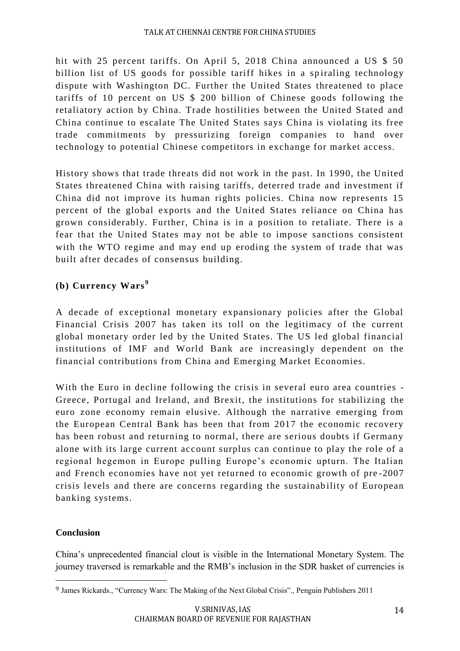hit with 25 percent tariffs. On April 5, 2018 China announced a US \$ 50 billion list of US goods for possible tariff hikes in a spiraling technology dispute with Washington DC. Further the United States threatened to place tariffs of 10 percent on US \$ 200 billion of Chinese goods following the retaliatory action by China. Trade hostilities between the United Stated and China continue to escalate The United States says China is violating its free trade commitments by pressurizing foreign companies to hand over technology to potential Chinese competitors in exchange for market access.

History shows that trade threats did not work in the past. In 1990, the United States threatened China with raising tariffs, deterred trade and investment if China did not improve its human rights policies. China now represents 15 percent of the global exports and the United States reliance on China has grown considerably. Further, China is in a position to retaliate. There is a fear that the United States may not be able to impose sanctions consistent with the WTO regime and may end up eroding the system of trade that was built after decades of consensus building.

# **(b) Currency Wars <sup>9</sup>**

A decade of exceptional monetary expansionary policies after the Global Financial Crisis 2007 has taken its toll on the legitimacy of the current global monetary order led by the United States. The US led global financial institutions of IMF and World Bank are increasingly dependent on the financial contributions from China and Emerging Market Economies.

With the Euro in decline following the crisis in several euro area countries - Greece, Portugal and Ireland, and Brexit, the institutions for stabilizing the euro zone economy remain elusive. Although the narrative emerging from the European Central Bank has been that from 2017 the economic recovery has been robust and returning to normal, there are serious doubts if Germany alone with its large current ac count surplus can continue to play the role of a regional hegemon in Europe pulling Europe's economic upturn. The Italian and French economies have not yet returned to economic growth of pre -2007 crisis levels and there are concerns regarding the sustainab ility of European banking systems.

## **Conclusion**

 $\overline{\phantom{a}}$ 

China's unprecedented financial clout is visible in the International Monetary System. The journey traversed is remarkable and the RMB's inclusion in the SDR basket of currencies is

<sup>9</sup> James Rickards., "Currency Wars: The Making of the Next Global Crisis"., Penguin Publishers 2011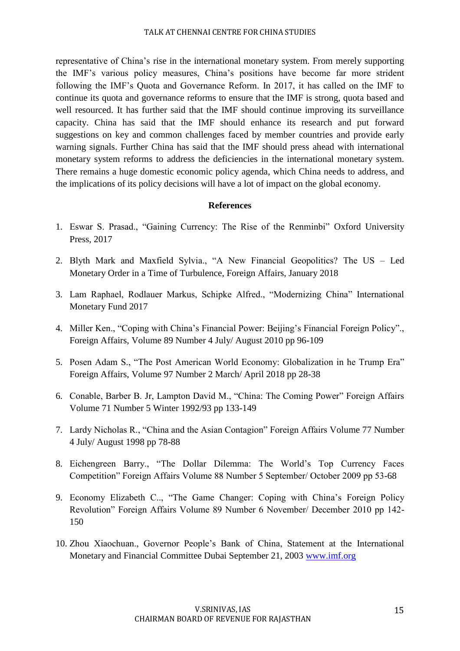representative of China's rise in the international monetary system. From merely supporting the IMF's various policy measures, China's positions have become far more strident following the IMF's Quota and Governance Reform. In 2017, it has called on the IMF to continue its quota and governance reforms to ensure that the IMF is strong, quota based and well resourced. It has further said that the IMF should continue improving its surveillance capacity. China has said that the IMF should enhance its research and put forward suggestions on key and common challenges faced by member countries and provide early warning signals. Further China has said that the IMF should press ahead with international monetary system reforms to address the deficiencies in the international monetary system. There remains a huge domestic economic policy agenda, which China needs to address, and the implications of its policy decisions will have a lot of impact on the global economy.

#### **References**

- 1. Eswar S. Prasad., "Gaining Currency: The Rise of the Renminbi" Oxford University Press, 2017
- 2. Blyth Mark and Maxfield Sylvia., "A New Financial Geopolitics? The US Led Monetary Order in a Time of Turbulence, Foreign Affairs, January 2018
- 3. Lam Raphael, Rodlauer Markus, Schipke Alfred., "Modernizing China" International Monetary Fund 2017
- 4. Miller Ken., "Coping with China's Financial Power: Beijing's Financial Foreign Policy"., Foreign Affairs, Volume 89 Number 4 July/ August 2010 pp 96-109
- 5. Posen Adam S., "The Post American World Economy: Globalization in he Trump Era" Foreign Affairs, Volume 97 Number 2 March/ April 2018 pp 28-38
- 6. Conable, Barber B. Jr, Lampton David M., "China: The Coming Power" Foreign Affairs Volume 71 Number 5 Winter 1992/93 pp 133-149
- 7. Lardy Nicholas R., "China and the Asian Contagion" Foreign Affairs Volume 77 Number 4 July/ August 1998 pp 78-88
- 8. Eichengreen Barry., "The Dollar Dilemma: The World's Top Currency Faces Competition" Foreign Affairs Volume 88 Number 5 September/ October 2009 pp 53-68
- 9. Economy Elizabeth C.., "The Game Changer: Coping with China's Foreign Policy Revolution" Foreign Affairs Volume 89 Number 6 November/ December 2010 pp 142- 150
- 10. Zhou Xiaochuan., Governor People's Bank of China, Statement at the International Monetary and Financial Committee Dubai September 21, 2003 [www.imf.org](http://www.imf.org/)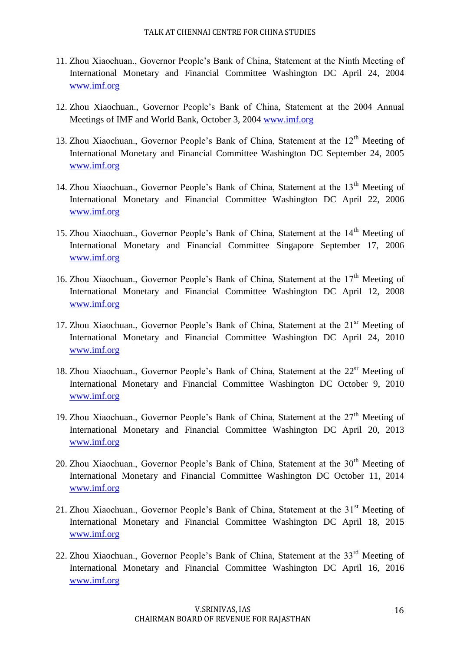- 11. Zhou Xiaochuan., Governor People's Bank of China, Statement at the Ninth Meeting of International Monetary and Financial Committee Washington DC April 24, 2004 [www.imf.org](http://www.imf.org/)
- 12. Zhou Xiaochuan., Governor People's Bank of China, Statement at the 2004 Annual Meetings of IMF and World Bank, October 3, 2004 [www.imf.org](http://www.imf.org/)
- 13. Zhou Xiaochuan., Governor People's Bank of China, Statement at the 12<sup>th</sup> Meeting of International Monetary and Financial Committee Washington DC September 24, 2005 [www.imf.org](http://www.imf.org/)
- 14. Zhou Xiaochuan., Governor People's Bank of China, Statement at the  $13<sup>th</sup>$  Meeting of International Monetary and Financial Committee Washington DC April 22, 2006 [www.imf.org](http://www.imf.org/)
- 15. Zhou Xiaochuan., Governor People's Bank of China, Statement at the 14<sup>th</sup> Meeting of International Monetary and Financial Committee Singapore September 17, 2006 [www.imf.org](http://www.imf.org/)
- 16. Zhou Xiaochuan., Governor People's Bank of China, Statement at the  $17<sup>th</sup>$  Meeting of International Monetary and Financial Committee Washington DC April 12, 2008 [www.imf.org](http://www.imf.org/)
- 17. Zhou Xiaochuan., Governor People's Bank of China, Statement at the 21<sup>sr</sup> Meeting of International Monetary and Financial Committee Washington DC April 24, 2010 [www.imf.org](http://www.imf.org/)
- 18. Zhou Xiaochuan., Governor People's Bank of China, Statement at the 22<sup>sr</sup> Meeting of International Monetary and Financial Committee Washington DC October 9, 2010 [www.imf.org](http://www.imf.org/)
- 19. Zhou Xiaochuan., Governor People's Bank of China, Statement at the  $27<sup>th</sup>$  Meeting of International Monetary and Financial Committee Washington DC April 20, 2013 [www.imf.org](http://www.imf.org/)
- 20. Zhou Xiaochuan., Governor People's Bank of China, Statement at the  $30<sup>th</sup>$  Meeting of International Monetary and Financial Committee Washington DC October 11, 2014 [www.imf.org](http://www.imf.org/)
- 21. Zhou Xiaochuan., Governor People's Bank of China, Statement at the  $31<sup>st</sup>$  Meeting of International Monetary and Financial Committee Washington DC April 18, 2015 [www.imf.org](http://www.imf.org/)
- 22. Zhou Xiaochuan., Governor People's Bank of China, Statement at the  $33<sup>rd</sup>$  Meeting of International Monetary and Financial Committee Washington DC April 16, 2016 [www.imf.org](http://www.imf.org/)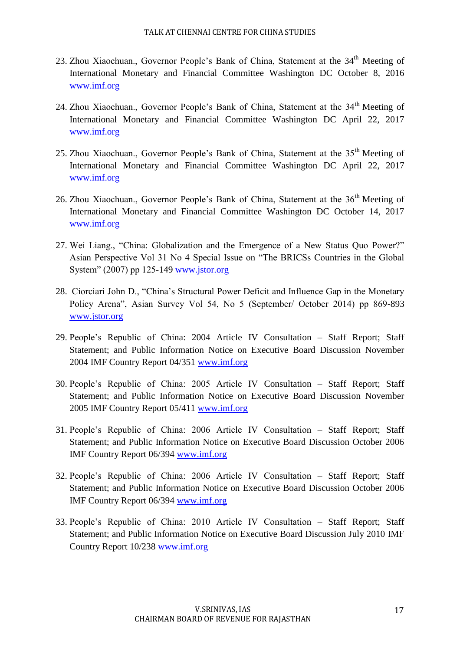- 23. Zhou Xiaochuan., Governor People's Bank of China, Statement at the 34<sup>th</sup> Meeting of International Monetary and Financial Committee Washington DC October 8, 2016 [www.imf.org](http://www.imf.org/)
- 24. Zhou Xiaochuan., Governor People's Bank of China, Statement at the 34<sup>th</sup> Meeting of International Monetary and Financial Committee Washington DC April 22, 2017 [www.imf.org](http://www.imf.org/)
- 25. Zhou Xiaochuan., Governor People's Bank of China, Statement at the 35<sup>th</sup> Meeting of International Monetary and Financial Committee Washington DC April 22, 2017 [www.imf.org](http://www.imf.org/)
- 26. Zhou Xiaochuan., Governor People's Bank of China, Statement at the 36<sup>th</sup> Meeting of International Monetary and Financial Committee Washington DC October 14, 2017 [www.imf.org](http://www.imf.org/)
- 27. Wei Liang., "China: Globalization and the Emergence of a New Status Quo Power?" Asian Perspective Vol 31 No 4 Special Issue on "The BRICSs Countries in the Global System" (2007) pp 125-149 [www.jstor.org](http://www.jstor.org/)
- 28. Ciorciari John D., "China's Structural Power Deficit and Influence Gap in the Monetary Policy Arena", Asian Survey Vol 54, No 5 (September/ October 2014) pp 869-893 [www.jstor.org](http://www.jstor.org/)
- 29. People's Republic of China: 2004 Article IV Consultation Staff Report; Staff Statement; and Public Information Notice on Executive Board Discussion November 2004 IMF Country Report 04/351 [www.imf.org](http://www.imf.org/)
- 30. People's Republic of China: 2005 Article IV Consultation Staff Report; Staff Statement; and Public Information Notice on Executive Board Discussion November 2005 IMF Country Report 05/411 [www.imf.org](http://www.imf.org/)
- 31. People's Republic of China: 2006 Article IV Consultation Staff Report; Staff Statement; and Public Information Notice on Executive Board Discussion October 2006 IMF Country Report 06/394 [www.imf.org](http://www.imf.org/)
- 32. People's Republic of China: 2006 Article IV Consultation Staff Report; Staff Statement; and Public Information Notice on Executive Board Discussion October 2006 IMF Country Report 06/394 [www.imf.org](http://www.imf.org/)
- 33. People's Republic of China: 2010 Article IV Consultation Staff Report; Staff Statement; and Public Information Notice on Executive Board Discussion July 2010 IMF Country Report 10/238 [www.imf.org](http://www.imf.org/)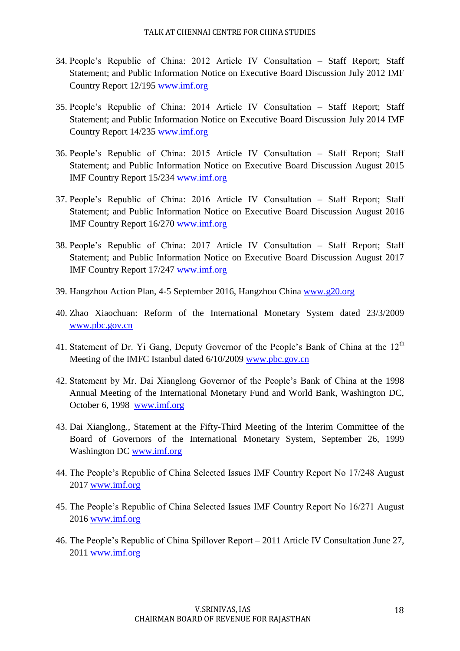- 34. People's Republic of China: 2012 Article IV Consultation Staff Report; Staff Statement; and Public Information Notice on Executive Board Discussion July 2012 IMF Country Report 12/195 [www.imf.org](http://www.imf.org/)
- 35. People's Republic of China: 2014 Article IV Consultation Staff Report; Staff Statement; and Public Information Notice on Executive Board Discussion July 2014 IMF Country Report 14/235 [www.imf.org](http://www.imf.org/)
- 36. People's Republic of China: 2015 Article IV Consultation Staff Report; Staff Statement; and Public Information Notice on Executive Board Discussion August 2015 IMF Country Report 15/234 [www.imf.org](http://www.imf.org/)
- 37. People's Republic of China: 2016 Article IV Consultation Staff Report; Staff Statement; and Public Information Notice on Executive Board Discussion August 2016 IMF Country Report 16/270 [www.imf.org](http://www.imf.org/)
- 38. People's Republic of China: 2017 Article IV Consultation Staff Report; Staff Statement; and Public Information Notice on Executive Board Discussion August 2017 IMF Country Report 17/247 [www.imf.org](http://www.imf.org/)
- 39. Hangzhou Action Plan, 4-5 September 2016, Hangzhou China [www.g20.org](http://www.g20.org/)
- 40. Zhao Xiaochuan: Reform of the International Monetary System dated 23/3/2009 [www.pbc.gov.cn](http://www.pbc.gov.cn/)
- 41. Statement of Dr. Yi Gang, Deputy Governor of the People's Bank of China at the  $12<sup>th</sup>$ Meeting of the IMFC Istanbul dated 6/10/2009 [www.pbc.gov.cn](http://www.pbc.gov.cn/)
- 42. Statement by Mr. Dai Xianglong Governor of the People's Bank of China at the 1998 Annual Meeting of the International Monetary Fund and World Bank, Washington DC, October 6, 1998 [www.imf.org](http://www.imf.org/)
- 43. Dai Xianglong., Statement at the Fifty-Third Meeting of the Interim Committee of the Board of Governors of the International Monetary System, September 26, 1999 Washington DC [www.imf.org](http://www.imf.org/)
- 44. The People's Republic of China Selected Issues IMF Country Report No 17/248 August 2017 [www.imf.org](http://www.imf.org/)
- 45. The People's Republic of China Selected Issues IMF Country Report No 16/271 August 2016 [www.imf.org](http://www.imf.org/)
- 46. The People's Republic of China Spillover Report 2011 Article IV Consultation June 27, 2011 [www.imf.org](http://www.imf.org/)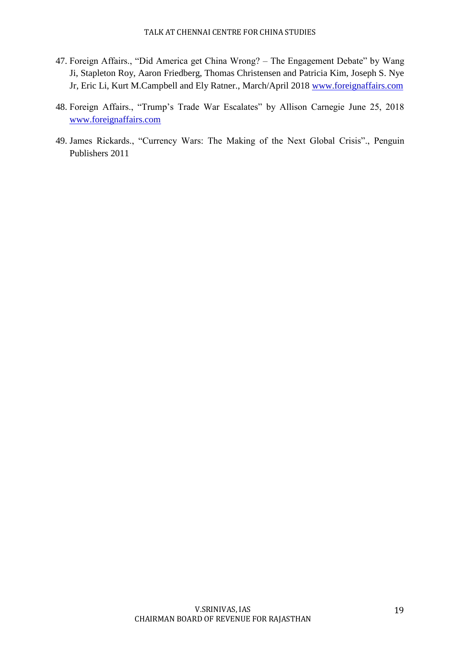- 47. Foreign Affairs., "Did America get China Wrong? The Engagement Debate" by Wang Ji, Stapleton Roy, Aaron Friedberg, Thomas Christensen and Patricia Kim, Joseph S. Nye Jr, Eric Li, Kurt M.Campbell and Ely Ratner., March/April 2018 [www.foreignaffairs.com](http://www.foreignaffairs.com/)
- 48. Foreign Affairs., "Trump's Trade War Escalates" by Allison Carnegie June 25, 2018 [www.foreignaffairs.com](http://www.foreignaffairs.com/)
- 49. James Rickards., "Currency Wars: The Making of the Next Global Crisis"., Penguin Publishers 2011